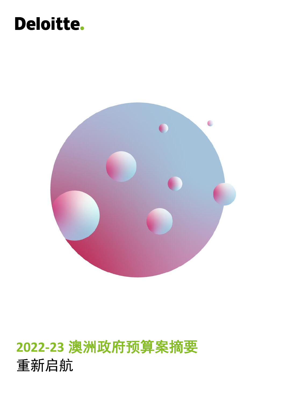# Deloitte.



# **2022-23** 澳洲政府预算案摘要 重新启航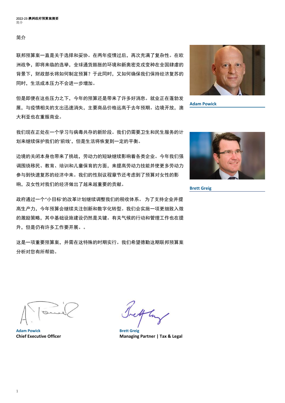简介

联邦预算案一直是关于选择和妥协。在两年疫情过后,再次充满了复杂性。在欧 洲战争,即将来临的选举,全球通货膨胀的环境和新奥密克戎变种在全国肆虐的 背景下,财政部长将如何制定预算?于此同时,又如何确保我们保持经济复苏的 同时,生活成本压力不会进一步增加。

但是即便在这些压力之下,今年的预算还是带来了许多好消息。就业正在蓬勃发 展,与疫情相关的支出迅速消失,主要商品价格远高于去年预期。边境开放,澳 大利亚也在重振商业。

我们现在正处在一个学习与病毒共存的新阶段。我们仍需要卫生和民生服务的计 划来继续保护我们的'前线',但是生活将恢复到一定的平衡。

边境的关闭本身也带来了挑战,劳动力的短缺继续影响着各类企业。今年我们强 调围绕移民、教育、培训和儿童保育的方面,来提高劳动力技能并使更多劳动力 参与到快速复苏的经济中来。我们的性别议程章节还考虑到了预算对女性的影 响,及女性对我们的经济做出了越来越重要的贡献。

政府通过一个"小目标'的改革计划继续调整我们的税收体系。 为了支持企业并提 高生产力,今年预算会继续关注创新和数字化转型。我们会实施一项更细致入微 的激励策略,其中基础设施建设仍然是关键。有关气候的行动和管理工作也在提 升,但是仍有许多工作要开展。。

这是一项重要预算案,并需在这特殊的时期实行。我们希望德勤这期联邦预算案 分析对您有所帮助。



**Adam Powick**



**Brett Greig**

**Adam Powick Brett Greig**

4h

**Chief Executive Officer Managing Partner | Tax & Legal**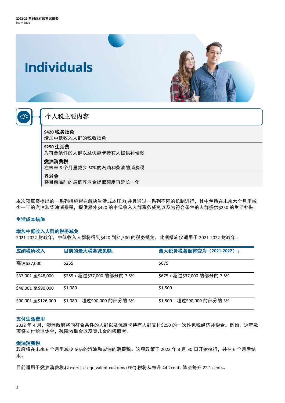

本次预算案提出的一系列措施皆在解决生活成本压力,并且通过一系列不同的机制进行,其中包括在未来六个月里减 少一半的汽油和柴油消费税,提供额外\$420 的中低收入人群税务减免以及为符合条件的人群提供\$250 的生活补贴。

#### 生活成本措施

#### 增加中低收入人群的税务减免

2021-2022 财政年,中低收入人群将得到\$420 到\$1,500 的税务抵免,此项措施仅适用于 2021-2022 财政年。

| 应纳税所收入              | 目前的最大税务减免额:                  | 最大税务税务额将变为 (2021-2022) :     |
|---------------------|------------------------------|------------------------------|
| 高达\$37,000          | \$255                        | \$675                        |
| \$37,001 至\$48,000  | \$255 + 超过\$37,000 的部分的 7.5% | \$675 + 超过\$37,000 的部分的 7.5% |
| \$48,001 至\$90,000  | \$1,080                      | \$1,500                      |
| \$90,001 至\$126,000 | \$1,080 – 超过\$90,000 的部分的 3% | \$1,500 – 超过\$90,000 的部分的 3% |

#### 支付生活费用

2022 年 4 月,澳洲政府将向符合条件的人群以及优惠卡持有人群支付\$250 的一次性免税经济补偿金。例如,这笔款 项将支付给退休金,残障救助金以及育儿金的领取者。

#### 燃油消费税

政府将在未来 6 个月里减少 50%的汽油和柴油的消费税。这项政策于 2022 年 3 月 30 日开始执行,并在 6 个月后结 束。

目前适用于燃油消费税和 exercise-equivalent customs (EEC) 税将从每升 44.2cents 降至每升 22.1 cents。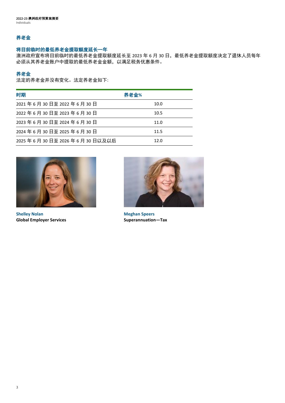#### 养老金

#### 将目前临时的最低养老金提取额度延长一年

澳洲政府宣布将目前临时的最低养老金提取额度延长至 2023 年 6 月 30 日, 最低养老金提取额度决定了退休人员每年 必须从其养老金账户中提取的最低养老金金额,以满足税务优惠条件。

#### 养老金

法定的养老金并没有变化。法定养老金如下:

| 时期                        | 养老金% |
|---------------------------|------|
| 2021年6月30日至2022年6月30日     | 10.0 |
| 2022年6月30日至2023年6月30日     | 10.5 |
| 2023年6月30日至2024年6月30日     | 11.0 |
| 2024年6月30日至2025年6月30日     | 11.5 |
| 2025年6月30日至2026年6月30日以及以后 | 12.0 |



**Shelley Nolan Global Employer Services**



**Meghan Speers Superannuation—Tax**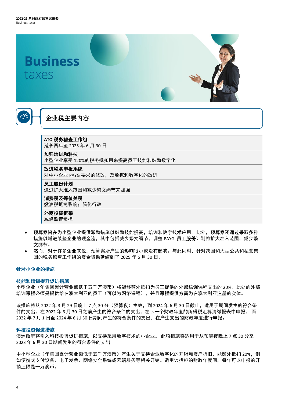



## 企业税主要内容

**ATO** 税务稽查工作组

延长两年至 2025 年 6 月 30 日

#### 加强培训和科技

小型企业享受 120%的税务抵扣用来提高员工技能和鼓励数字化

#### 改进税务申报系统

对中小企业 PAYG 要求的修改, 及数据和数字化的改进

#### 员工股份计划

通过扩大准入范围和减少繁文缛节来加强

## 消费税及等值关税

燃油税抵免影响;简化行政

#### 外商投资框架

减轻监管负担

- 预算案旨在为小型企业提供激励措施以鼓励技能提高,培训和数字技术应用。此外,预算案还通过采取多种 措施以增进某些企业的现金流,其中包括减少繁文缛节,调整 PAYG. 员工股份计划将扩大准入范围, 减少繁 文缛节。
- 然而,对于许多企业来说,预算案所产生的影响很小或没有影响。与此同时,针对跨国和大型公共和私营集 团的税务稽查工作组的资金资助延续到了 2025 年 6 月 30 日。

#### 针对小企业的措施

#### 技能和培训提升促进措施

小型企业(年集团累计营业额低于五千万澳币)将能够额外抵扣为员工提供的外部培训课程支出的 20%。此处的外部 培训课程必须是提供给在澳大利亚的员工(可以为网络课程),并且课程提供方需为在澳大利亚注册的实体。

该措施将从 2022 年 3 月 29 日晚上 7 点 30 分(预算夜)生效, 到 2024 年 6 月 30 日截止, 适用于期间发生的符合条 件的支出。在 2022 年 6 月 30 日之前产生的符合条件的支出,在下一个财政年度的所得税汇算清缴报表中申报。 而 2022 年 7 月 1 日至 2024 年 6 月 30 日期间产生的符合条件的支出,在产生支出的财政年度进行申报。

#### 科技投资促进措施

澳洲政府将引入科技投资促进措施,以支持采用数字技术的小企业。 此项措施将适用于从预算夜晚上 7 点 30 分至 2023 年 6 月 30 日期间发生的符合条件的支出。

中小型企业(年集团累计营业额低于五千万澳币)产生关于支持企业数字化的开销和资产折旧,能额外抵扣 20%,例 如便携式支付设备、电子发票、网络安全系统或云端服务等相关开销。适用该措施的财政年度间,每年可以申报的开 销上限是一万澳币。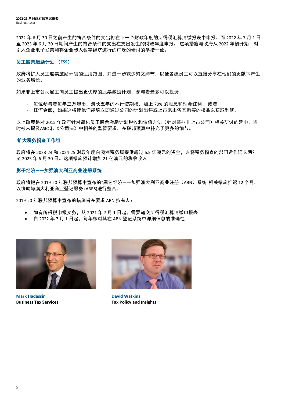2022 年 6 月 30 日之前产生的符合条件的支出将在下一个财政年度的所得税汇算清缴报表中申报。而 2022 年 7 月 1 日 至 2023 年 6 月 30 日期间产生的符合条件的支出在支出发生的财政年度申报。 这项措施与政府从 2022 年初开始,对 引入企业电子发票和将企业步入数字经济进行的广泛的研讨的举措一致。

#### 员工股票激励计划 (**ESS**)

政府将扩大员工股票激励计划的适用范围,并进一步减少繁文缛节,以便各级员工可以直接分享在他们的贡献下产生 的业务增长。

如果非上市公司雇主向员工提出更优厚的股票激励计划,参与者最多可以投资:

- 每位参与者每年三万澳币,最长五年的不行使期权,加上 70% 的股息和现金红利; 或者
- 任何金额,如果这将使他们能够立即通过公司的计划出售或上市来出售其购买的权益以获取利润。

以上政策是对 2015 年政府针对简化员工股票激励计划税收和估值方法(针对某些非上市公司)相关研讨的延申。当 时被未提及ASIC 和《公司法》中相关的监管要求,在联邦预算中补充了更多的细节。

#### 扩大税务稽查工作组

政府将在 2023-24 和 2024-25 财政年度向澳洲税务局提供超过 6.5 亿澳元的资金,以将税务稽查的部门运作延长两年 至 2025 年 6 月 30 日。这项措施预计增加 21 亿澳元的税收收入 。

#### 影子经济**——**加强澳大利亚商业注册系统

政府将把在 2019-20 年联邦预算中宣布的"黑色经济——加强澳大利亚商业注册(ABN)系统"相关措施推迟 12 个月, 以协助与澳大利亚商业登记服务 (ABRS)进行整合。

2019-20 年联邦预算中宣布的措施旨在要求 ABN 持有人:

- 如有所得税申报义务,从 2021 年 7 月 1 日起,需要递交所得税汇算清缴申报表
- 自 2022 年 7 月 1 日起,每年核对其在 ABN 登记系统中详细信息的准确性



**Mark Hadassin Business Tax Services**



**David Watkins Tax Policy and Insights**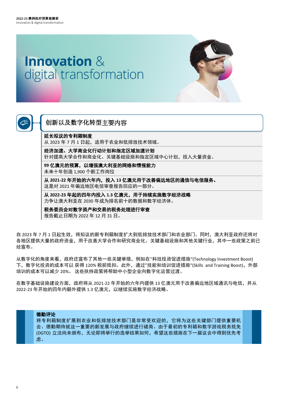# <span id="page-6-0"></span>**Innovation &** digital transformation





## 创新以及数字化转型主要内容

#### 延长拟议的专利箱制度

[Innovation & digital transformation](#page-6-0)

从 2023 年 7 月 1 日起, 适用于农业和低排放技术领域。

经济加速、大学商业化行动计划和指定区域加速计划 针对提高大学合作和商业化、关键基础设施和指定区域中心计划,投入大量资金。

**99** 亿澳元的预算,以增强澳大利亚的网络和情报能力

未来十年创造 1,900 个新工作岗位

从 **2021-22** 年开始的六年内,投入 **13** 亿澳元用于改善偏远地区的通信与电信服务。 这是对 2021 年偏远地区电信审查报告回应的一部分。

从 **2022-23** 年起的四年内投入 **1.3** 亿澳元,用于持续实施数字经济战略 力争让澳大利亚在 2030 年成为排名前十的数据和数字经济体。

税务委员会对数字资产和交易的税务处理进行审查

报告截止日期为 2022 年 12 月 31 日。

自 2023 年 7 月 1 日起生效,将拟议的新专利箱制度扩大到低排放技术部门和农业部门。同时,澳大利亚政府还将对 各地区提供大量的政府资金,用于改善大学合作和研究商业化、关键基础设施和其他关键行业,其中一些政策之前已 经宣布。

从数字化的角度来看,政府还宣布了其他一些关键举措,例如在"科技投资促进措施"(Technology Investment Boost) 下,数字化投资的成本可以 获得 120% 税前抵扣。此外,通过"技能和培训促进措施"(Skills and Training Boost), 外部 培训的成本可以减少 20%。 这些扶持政策将帮助中小型企业向数字化运营过渡。

在数字基础设施建设方面,政府将从 2021-22 年开始的六年内提供 13 亿澳元用于改善偏远地区域通讯与电信,并从 2022-23 年开始的四年内额外提供 1.3 亿澳元,以继续实施数字经济战略。

#### 德勤评论

将专利箱制度扩展到农业和低排放技术部门是非常受欢迎的,它将为这些关键部门提供重要机 会。德勤期待就这一重要的新发展与政府继续进行磋商。由于最初的专利箱和数字游戏税务抵免 (DGTO) 立法尚未颁布,无论即将举行的选举结果如何,希望这些措施在下一届议会中得到优先考 虑。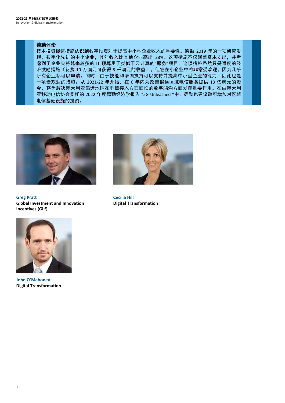#### 德勤评论

技术投资促进措施认识到数字投资对于提高中小型企业收入的重要性。德勤 2019 年的一项研究发 现,数字化先进的中小企业,其年收入比其他企业高出 28%。这项措施不仅涵盖资本支出,并考 虑到了企业会将越来越多的 IT 预算用于类似于云计算的"服务"项目。这项措施虽然只是适度的经 济激励措施(花费 10 万澳元可获得 5 千澳元的收益), 但它在小企业中将非常受欢迎, 因为几乎 所有企业都可以申请。同时,由于技能和培训扶持可以支持并提高中小型企业的能力,因此也是 一项受欢迎的措施。从 2021-22 年开始,在 6 年内为改善偏远区域电信服务提供 13 亿澳元的资 金,将为解决澳大利亚偏远地区在电信接入方面面临的数字鸿沟方面发挥重要作用。在由澳大利 亚移动电信协会委托的 2022 年度德勤经济学报告 "5G Unleashed "中,德勤也建议政府增加对区域 电信基础设施的投资。



**Greg Pratt Global Investment and Innovation Incentives (Gi ³)**



**Cecilia Hill Digital Transformation**



**John O'Mahoney Digital Transformation**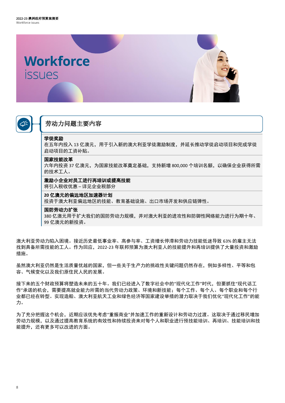<span id="page-8-0"></span>



## 劳动力问题主要内容

#### 学徒奖励

在五年内投入 13 亿澳元,用于引入新的澳大利亚学徒激励制度,并延长推动学徒启动项目和完成学徒 启动项目的工资补贴。

#### 国家技能改革

六年内投资 37 亿澳元,为国家技能改革奠定基础,支持新增 800,000 个培训名额,以确保企业获得所需 的技术工人。

#### 激励小企业对员工进行再培训或提高技能

将引入税收优惠 – 详见企业税部分

#### **20** 亿澳元的偏远地区加速器计划

投资于澳大利亚偏远地区的技能、教育基础设施、出口市场开发和供应链弹性。

#### 国防劳动力扩张

380 亿澳元用于扩大我们的国防劳动力规模,并对澳大利亚的进攻性和防御性网络能力进行为期十年、 99 亿澳元的新投资。

澳大利亚劳动力陷入困境。接近历史最低事业率、高参与率、工资增长停滞和劳动力技能低迷导致 63% 的雇主无法 找到具备所需技能的工人。作为回应,2022-23 年联邦预算为澳大利亚人的技能提升和再培训提供了大量投资和激励 措施。

虽然澳大利亚仍然是生活质量优越的国家,但一些关于生产力的挑战性关键问题仍然存在,例如多样性、平等和包 容、气候变化以及我们原住民人民的发展。

接下来的五个财政预算将塑造未来的五十年。我们已经进入了数字社会中的"现代化工作"时代,但要抓住"现代话工 作"承诺的机会,需要提高就业能力所需的当代劳动力政策、环境和新技能;每个工作、每个人、每个职业和每个行 业都已经在转型。实现造船、澳大利亚航天工业和绿色经济等国家建设举措的潜力取决于我们优化"现代化工作"的能 力。

为了充分把握这个机会,近期应该优先考虑"重振商业"并加速工作的重新设计和劳动力过渡。这取决于通过移民增加 劳动力规模,以及通过提高教育系统的有效性和持续投资来对每个人和职业进行预技能培训、再培训、技能培训和技 能提升,还有更多可以改进的方面。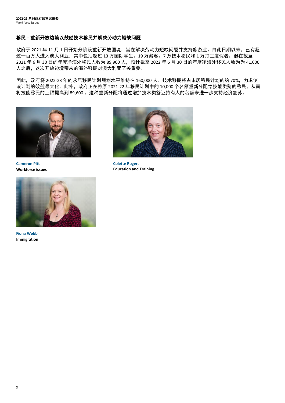#### 移民 **–** 重新开放边境以鼓励技术移民并解决劳动力短缺问题

政府于 2021 年 11 月 1 日开始分阶段重新开放国境,旨在解决劳动力短缺问题并支持旅游业。自此日期以来,已有超 过一百万人进入澳大利亚,其中包括超过 13 万国际学生、19 万游客、7 万技术移民和 1 万打工度假者。继在截至 2021 年 6 月 30 日的年度净海外移民人数为 89,900 人,预计截至 2022 年 6 月 30 日的年度净海外移民人数为为 41,000 人之后,这次开放边境带来的海外移民对澳大利亚至关重要。

因此,政府将 2022-23 年的永居移民计划规划水平维持在 160,000 人。技术移民将占永居移民计划的约 70%,力求使 该计划的效益最大化。此外,政府正在将原 2021-22 年移民计划中的 10,000 个名额重新分配给技能类别的移民,从而 将技能移民的上限提高到 89,600 。这种重新分配将通过增加技术类签证持有人的名额来进一步支持经济复苏。



**Cameron Pitt Workforce issues**



**Colette Rogers Education and Training**



**Fiona Webb Immigration**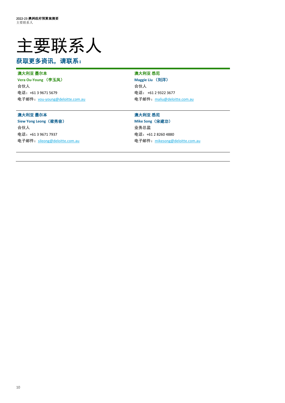

# 获取更多资讯,请联系:

#### 澳大利亚 墨尔本

**Vera Ou-Young** (李玉凤) 合伙人 电话:+61 3 9671 5679 电子邮件:[vou-young@deloitte.com.au](mailto:vou-young@deloitte.com.au)

#### 澳大利亚 墨尔本

**Siew Yong Leong**(梁秀容) 合伙人 电话:+61 3 9671 7937 电子邮件:[sileong@deloitte.com.au](mailto:sileong@deloitte.com.au)

#### 澳大利亚 悉尼

**Maggie Liu** (刘洋) 合伙人 电话: +61 2 9322 3677 电子邮件:[maliu@deloitte.com.au](mailto:maliu@deloitte.com.au)

#### 澳大利亚 悉尼

**Mike Song**(宋建功) 业务总监 电话:+61 2 8260 4880 电子邮件:[mikesong@deloitte.com.au](mailto:mikesong@deloitte.com.au)